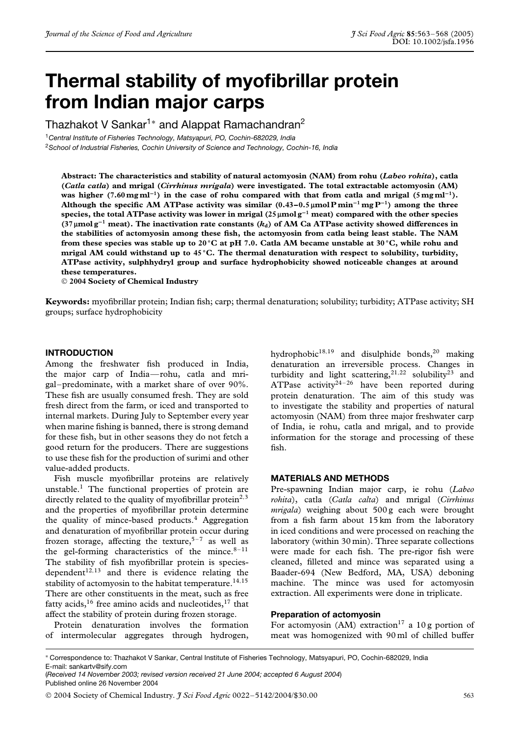# **Thermal stability of myofibrillar protein from Indian major carps**

Thazhakot V Sankar<sup>1</sup><sup>∗</sup> and Alappat Ramachandran<sup>2</sup>

<sup>1</sup>*Central Institute of Fisheries Technology, Matsyapuri, PO, Cochin-682029, India*

<sup>2</sup>*School of Industrial Fisheries, Cochin University of Science and Technology, Cochin-16, India*

**Abstract: The characteristics and stability of natural actomyosin (NAM) from rohu (***Labeo rohita***), catla (***Catla catla***) and mrigal (***Cirrhinus mrigala***) were investigated. The total extractable actomyosin (AM) was higher (7.60 mg ml<sup>−1</sup>) in the case of rohu compared with that from catla and mrigal (5 mg ml<sup>−1</sup>). Although the specific AM ATPase activity was similar (0.43–0.5** µ**mol P min−<sup>1</sup> mg P−1) among the three species, the total ATPase activity was lower in mrigal (25** µ**mol g−<sup>1</sup> meat) compared with the other species (37** µ**mol g−<sup>1</sup> meat). The inactivation rate constants (***k***d) of AM Ca ATPase activity showed differences in the stabilities of actomyosin among these fish, the actomyosin from catla being least stable. The NAM from these species was stable up to 20 ◦C at pH 7.0. Catla AM became unstable at 30 ◦C, while rohu and mrigal AM could withstand up to 45 ◦C. The thermal denaturation with respect to solubility, turbidity, ATPase activity, sulphhydryl group and surface hydrophobicity showed noticeable changes at around these temperatures.**

**2004 Society of Chemical Industry**

**Keywords:** myofibrillar protein; Indian fish; carp; thermal denaturation; solubility; turbidity; ATPase activity; SH groups; surface hydrophobicity

#### **INTRODUCTION**

Among the freshwater fish produced in India, the major carp of India—rohu, catla and mrigal–predominate, with a market share of over 90%. These fish are usually consumed fresh. They are sold fresh direct from the farm, or iced and transported to internal markets. During July to September every year when marine fishing is banned, there is strong demand for these fish, but in other seasons they do not fetch a good return for the producers. There are suggestions to use these fish for the production of surimi and other value-added products.

Fish muscle myofibrillar proteins are relatively unstable.1 The functional properties of protein are directly related to the quality of myofibrillar protein<sup>2,3</sup> and the properties of myofibrillar protein determine the quality of mince-based products.<sup>4</sup> Aggregation and denaturation of myofibrillar protein occur during frozen storage, affecting the texture,  $5-7$  as well as the gel-forming characteristics of the mince. $8-11$ The stability of fish myofibrillar protein is speciesdependent $12,13$  and there is evidence relating the stability of actomyosin to the habitat temperature.<sup>14,15</sup> There are other constituents in the meat, such as free fatty acids,<sup>16</sup> free amino acids and nucleotides,<sup>17</sup> that affect the stability of protein during frozen storage.

Protein denaturation involves the formation of intermolecular aggregates through hydrogen, hydrophobic<sup>18,19</sup> and disulphide bonds,<sup>20</sup> making denaturation an irreversible process. Changes in turbidity and light scattering,  $2^{1,22}$  solubility<sup>23</sup> and ATPase activity<sup>24-26</sup> have been reported during protein denaturation. The aim of this study was to investigate the stability and properties of natural actomyosin (NAM) from three major freshwater carp of India, ie rohu, catla and mrigal, and to provide information for the storage and processing of these fish.

#### **MATERIALS AND METHODS**

Pre-spawning Indian major carp, ie rohu (*Labeo rohita*), catla (*Catla calta*) and mrigal (*Cirrhinus mrigala*) weighing about 500 g each were brought from a fish farm about 15 km from the laboratory in iced conditions and were processed on reaching the laboratory (within 30 min). Three separate collections were made for each fish. The pre-rigor fish were cleaned, filleted and mince was separated using a Baader-694 (New Bedford, MA, USA) deboning machine. The mince was used for actomyosin extraction. All experiments were done in triplicate.

#### **Preparation of actomyosin**

For actomyosin (AM) extraction<sup>17</sup> a 10 g portion of meat was homogenized with 90 ml of chilled buffer

<sup>∗</sup> Correspondence to: Thazhakot V Sankar, Central Institute of Fisheries Technology, Matsyapuri, PO, Cochin-682029, India E-mail: sankartv@sify.com

<sup>(</sup>*Received 14 November 2003; revised version received 21 June 2004; accepted 6 August 2004*) Published online 26 November 2004

2004 Society of Chemical Industry. *J Sci Food Agric* 0022–5142/2004/\$30.00 563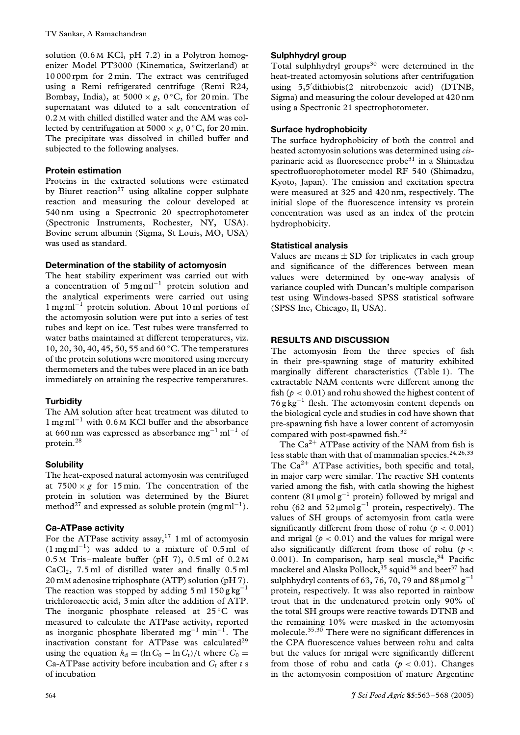solution (0.6 M KCl, pH 7.2) in a Polytron homogenizer Model PT3000 (Kinematica, Switzerland) at 10 000 rpm for 2 min. The extract was centrifuged using a Remi refrigerated centrifuge (Remi R24, Bombay, India), at  $5000 \times g$ , 0 °C, for 20 min. The supernatant was diluted to a salt concentration of 0.2 M with chilled distilled water and the AM was collected by centrifugation at 5000  $\times$  *g*, 0 °C, for 20 min. The precipitate was dissolved in chilled buffer and subjected to the following analyses.

## **Protein estimation**

Proteins in the extracted solutions were estimated by Biuret reaction<sup>27</sup> using alkaline copper sulphate reaction and measuring the colour developed at 540 nm using a Spectronic 20 spectrophotometer (Spectronic Instruments, Rochester, NY, USA). Bovine serum albumin (Sigma, St Louis, MO, USA) was used as standard.

# **Determination of the stability of actomyosin**

The heat stability experiment was carried out with a concentration of  $5 \text{ mg} \text{ml}^{-1}$  protein solution and the analytical experiments were carried out using 1 mg ml−<sup>1</sup> protein solution. About 10 ml portions of the actomyosin solution were put into a series of test tubes and kept on ice. Test tubes were transferred to water baths maintained at different temperatures, viz. 10, 20, 30, 40, 45, 50, 55 and 60 ◦C. The temperatures of the protein solutions were monitored using mercury thermometers and the tubes were placed in an ice bath immediately on attaining the respective temperatures.

# **Turbidity**

The AM solution after heat treatment was diluted to 1 mg ml−<sup>1</sup> with 0.6 <sup>M</sup> KCl buffer and the absorbance at 660 nm was expressed as absorbance mg<sup>-1</sup> ml<sup>-1</sup> of protein.28

# **Solubility**

The heat-exposed natural actomyosin was centrifuged at  $7500 \times g$  for 15 min. The concentration of the protein in solution was determined by the Biuret method<sup>27</sup> and expressed as soluble protein (mg ml<sup>-1</sup>).

# **Ca-ATPase activity**

For the ATPase activity assay,<sup>17</sup> 1 ml of actomyosin  $(1 \text{ mg ml}^{-1})$  was added to a mixture of 0.5 ml of 0.5 M Tris–maleate buffer (pH 7), 0.5 ml of 0.2 M  $CaCl<sub>2</sub>$ , 7.5 ml of distilled water and finally 0.5 ml 20 mM adenosine triphosphate (ATP) solution (pH 7). The reaction was stopped by adding 5 ml  $150$  g kg<sup>-1</sup> trichloroacetic acid, 3 min after the addition of ATP. The inorganic phosphate released at  $25^{\circ}$ C was measured to calculate the ATPase activity, reported as inorganic phosphate liberated mg<sup>-1</sup> min<sup>-1</sup>. The inactivation constant for ATPase was calculated $29$ using the equation  $k_d = (\ln C_0 - \ln C_t)/t$  where  $C_0 =$ Ca-ATPase activity before incubation and  $C_t$  after  $t$  s of incubation

## **Sulphhydryl group**

Total sulphhydryl groups<sup>30</sup> were determined in the heat-treated actomyosin solutions after centrifugation using 5,5 dithiobis(2 nitrobenzoic acid) (DTNB, Sigma) and measuring the colour developed at 420 nm using a Spectronic 21 spectrophotometer.

## **Surface hydrophobicity**

The surface hydrophobicity of both the control and heated actomyosin solutions was determined using *cis*parinaric acid as fluorescence  $probe^{31}$  in a Shimadzu spectrofluorophotometer model RF 540 (Shimadzu, Kyoto, Japan). The emission and excitation spectra were measured at 325 and 420 nm, respectively. The initial slope of the fluorescence intensity vs protein concentration was used as an index of the protein hydrophobicity.

## **Statistical analysis**

Values are means  $\pm$  SD for triplicates in each group and significance of the differences between mean values were determined by one-way analysis of variance coupled with Duncan's multiple comparison test using Windows-based SPSS statistical software (SPSS Inc, Chicago, Il, USA).

## **RESULTS AND DISCUSSION**

The actomyosin from the three species of fish in their pre-spawning stage of maturity exhibited marginally different characteristics (Table 1). The extractable NAM contents were different among the fish ( $p < 0.01$ ) and rohu showed the highest content of  $76$  g kg<sup>-1</sup> flesh. The actomyosin content depends on the biological cycle and studies in cod have shown that pre-spawning fish have a lower content of actomyosin compared with post-spawned fish.<sup>32</sup>

The  $Ca^{2+}$  ATPase activity of the NAM from fish is less stable than with that of mammalian species.24*,*26*,*<sup>33</sup> The  $Ca^{2+}$  ATPase activities, both specific and total, in major carp were similar. The reactive SH contents varied among the fish, with catla showing the highest content  $(81 \mu \text{mol g}^{-1}$  protein) followed by mrigal and rohu (62 and 52 µmol  $g^{-1}$  protein, respectively). The values of SH groups of actomyosin from catla were significantly different from those of rohu ( $p < 0.001$ ) and mrigal ( $p < 0.01$ ) and the values for mrigal were also significantly different from those of rohu (*p <* 0.001). In comparison, harp seal muscle,<sup>34</sup> Pacific mackerel and Alaska Pollock,<sup>35</sup> squid<sup>36</sup> and beet<sup>37</sup> had sulphhydryl contents of 63, 76, 70, 79 and 88  $\mu$ mol g<sup>-1</sup> protein, respectively. It was also reported in rainbow trout that in the undenatured protein only 90% of the total SH groups were reactive towards DTNB and the remaining 10% were masked in the actomyosin molecule.35*,*<sup>30</sup> There were no significant differences in the CPA fluorescence values between rohu and calta but the values for mrigal were significantly different from those of rohu and catla ( $p < 0.01$ ). Changes in the actomyosin composition of mature Argentine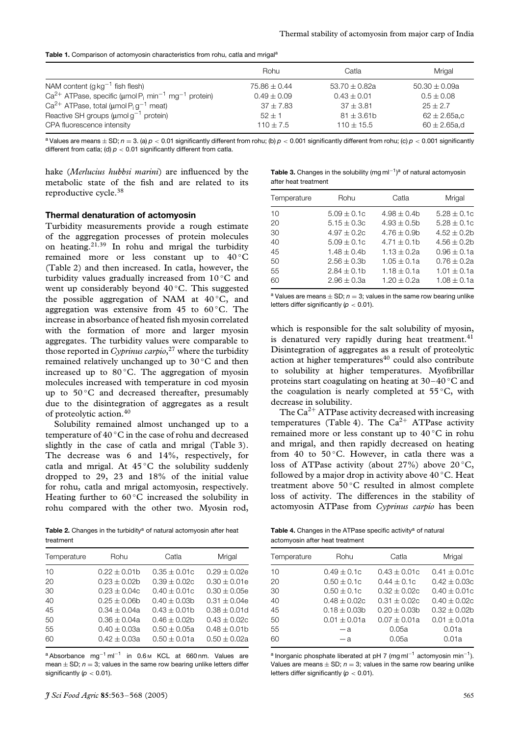|  |  |  | Table 1. Comparison of actomyosin characteristics from rohu, catla and mrigal <sup>a</sup> |  |  |  |  |
|--|--|--|--------------------------------------------------------------------------------------------|--|--|--|--|
|--|--|--|--------------------------------------------------------------------------------------------|--|--|--|--|

|                                                                                                   | Rohu             | Catla             | Mrigal            |
|---------------------------------------------------------------------------------------------------|------------------|-------------------|-------------------|
| NAM content ( $g \text{ kg}^{-1}$ fish flesh)                                                     | $75.86 \pm 0.44$ | 53.70 $\pm$ 0.82a | $50.30 \pm 0.09a$ |
| $Ca^{2+}$ ATPase, specific ( $\mu$ mol P <sub>i</sub> min <sup>-1</sup> mg <sup>-1</sup> protein) | $0.49 \pm 0.09$  | $0.43 \pm 0.01$   | $0.5 \pm 0.08$    |
| $Ca^{2+}$ ATPase, total ( $\mu$ mol P <sub>i</sub> g <sup>-1</sup> meat)                          | $37 \pm 7.83$    | $37 + 3.81$       | $25 + 2.7$        |
| Reactive SH groups ( $\mu$ molg <sup>-1</sup> protein)                                            | $52 + 1$         | $81 \pm 3.61$ b   | $62 \pm 2.65$ a.c |
| CPA fluorescence intensity                                                                        | $110 + 7.5$      | $110 \pm 15.5$    | $60 \pm 2.65$ a,d |

<sup>a</sup> Values are means  $\pm$  SD;  $n = 3$ . (a)  $p < 0.01$  significantly different from rohu; (b)  $p < 0.001$  significantly different from rohu; (c)  $p < 0.001$  significantly different from catla; (d) *p <* 0*.*01 significantly different from catla.

hake (*Merlucius hubbsi marini*) are influenced by the metabolic state of the fish and are related to its reproductive cycle.38

#### **Thermal denaturation of actomyosin**

Turbidity measurements provide a rough estimate of the aggregation processes of protein molecules on heating.21*,*<sup>39</sup> In rohu and mrigal the turbidity remained more or less constant up to 40 °C (Table 2) and then increased. In catla, however, the turbidity values gradually increased from  $10^{\circ}$ C and went up considerably beyond 40 ℃. This suggested the possible aggregation of NAM at  $40^{\circ}$ C, and aggregation was extensive from 45 to  $60^{\circ}$ C. The increase in absorbance of heated fish myosin correlated with the formation of more and larger myosin aggregates. The turbidity values were comparable to those reported in *Cyprinus carpio*, <sup>27</sup> where the turbidity remained relatively unchanged up to 30 ◦C and then increased up to  $80^{\circ}$ C. The aggregation of myosin molecules increased with temperature in cod myosin up to 50 °C and decreased thereafter, presumably due to the disintegration of aggregates as a result of proteolytic action.40

Solubility remained almost unchanged up to a temperature of 40 ◦C in the case of rohu and decreased slightly in the case of catla and mrigal (Table 3). The decrease was 6 and 14%, respectively, for catla and mrigal. At  $45^{\circ}$ C the solubility suddenly dropped to 29, 23 and 18% of the initial value for rohu, catla and mrigal actomyosin, respectively. Heating further to  $60^{\circ}$ C increased the solubility in rohu compared with the other two. Myosin rod,

Table 2. Changes in the turbidity<sup>a</sup> of natural actomyosin after heat treatment

| Temperature | Rohu             | Catla            | Mrigal           |
|-------------|------------------|------------------|------------------|
| 10          | $0.22 + 0.01b$   | $0.35 \pm 0.01c$ | $0.29 + 0.02e$   |
| 20          | $0.23 + 0.02b$   | $0.39 + 0.02c$   | $0.30 \pm 0.01e$ |
| 30          | $0.23 + 0.04c$   | $0.40 \pm 0.01c$ | $0.30 \pm 0.05e$ |
| 40          | $0.25 \pm 0.06h$ | $0.40 \pm 0.03b$ | $0.31 \pm 0.04e$ |
| 45          | $0.34 \pm 0.04a$ | $0.43 \pm 0.01$  | $0.38 + 0.01d$   |
| 50          | $0.36 \pm 0.04a$ | $0.46 \pm 0.02$  | $0.43 \pm 0.02c$ |
| 55          | $0.40 \pm 0.03a$ | $0.50 \pm 0.05a$ | $0.48 \pm 0.01$  |
| 60          | $0.42 + 0.03a$   | $0.50 \pm 0.01a$ | $0.50 \pm 0.02a$ |
|             |                  |                  |                  |

<sup>a</sup> Absorbance mg−<sup>1</sup> ml−<sup>1</sup> in 0.6 <sup>M</sup> KCL at 660 nm. Values are mean  $\pm$  SD;  $n = 3$ ; values in the same row bearing unlike letters differ significantly  $(p < 0.01)$ .

Table 3. Changes in the solubility (mg ml<sup>-1</sup>)<sup>a</sup> of natural actomyosin after heat treatment

| Temperature | Rohu            | Catla            | Mrigal           |
|-------------|-----------------|------------------|------------------|
| 10          | $5.09 \pm 0.1c$ | $4.98 + 0.4b$    | $5.28 \pm 0.1c$  |
| 20          | $5.15 \pm 0.3c$ | $4.93 + 0.5b$    | $5.28 + 0.1c$    |
| 30          | $4.97 + 0.2c$   | $4.76 \pm 0.9$ b | $4.52 + 0.2b$    |
| 40          | $5.09 \pm 0.1c$ | $4.71 \pm 0.1$ b | $4.56 \pm 0.2$ b |
| 45          | $1.48 + 0.4b$   | $1.13 \pm 0.2a$  | $0.96 \pm 0.1a$  |
| 50          | $2.56 \pm 0.3b$ | $1.05 \pm 0.1a$  | $0.76 \pm 0.2a$  |
| 55          | $2.84 \pm 0.1$  | $1.18 \pm 0.1a$  | $1.01 \pm 0.1a$  |
| 60          | $2.96 \pm 0.3a$ | $1.20 \pm 0.2a$  | $1.08 \pm 0.1a$  |

<sup>a</sup> Values are means  $\pm$  SD;  $n = 3$ ; values in the same row bearing unlike letters differ significantly (*p <* 0*.*01).

which is responsible for the salt solubility of myosin, is denatured very rapidly during heat treatment.<sup>41</sup> Disintegration of aggregates as a result of proteolytic action at higher temperatures $40$  could also contribute to solubility at higher temperatures. Myofibrillar proteins start coagulating on heating at 30–40 ◦C and the coagulation is nearly completed at  $55^{\circ}$ C, with decrease in solubility.

The  $Ca^{2+}$  ATPase activity decreased with increasing temperatures (Table 4). The  $Ca^{2+}$  ATPase activity remained more or less constant up to 40 ◦C in rohu and mrigal, and then rapidly decreased on heating from 40 to 50 $\degree$ C. However, in catla there was a loss of ATPase activity (about 27%) above  $20^{\circ}$ C, followed by a major drop in activity above  $40^{\circ}$ C. Heat treatment above  $50^{\circ}$ C resulted in almost complete loss of activity. The differences in the stability of actomyosin ATPase from *Cyprinus carpio* has been

Table 4. Changes in the ATPase specific activity<sup>a</sup> of natural actomyosin after heat treatment

| Temperature | Rohu             | Catla            | Mrigal           |
|-------------|------------------|------------------|------------------|
| 10          | $0.49 \pm 0.1c$  | $0.43 \pm 0.01c$ | $0.41 \pm 0.01c$ |
| 20          | $0.50 \pm 0.1c$  | $0.44 \pm 0.1c$  | $0.42 \pm 0.03c$ |
| 30          | $0.50 \pm 0.1c$  | $0.32 \pm 0.02c$ | $0.40 \pm 0.01c$ |
| 40          | $0.48 \pm 0.02c$ | $0.31 \pm 0.02c$ | $0.40 \pm 0.02c$ |
| 45          | $0.18 + 0.03b$   | $0.20 \pm 0.03$  | $0.32 + 0.02b$   |
| 50          | $0.01 \pm 0.01a$ | $0.07 \pm 0.01a$ | $0.01 \pm 0.01a$ |
| 55          | — а              | 0.05a            | 0.01a            |
| 60          | — а              | 0.05a            | 0.01a            |
|             |                  |                  |                  |

<sup>a</sup> Inorganic phosphate liberated at pH 7 (mg ml<sup>-1</sup> actomyosin min<sup>-1</sup>). Values are means  $\pm$  SD;  $n = 3$ ; values in the same row bearing unlike letters differ significantly (*p <* 0*.*01).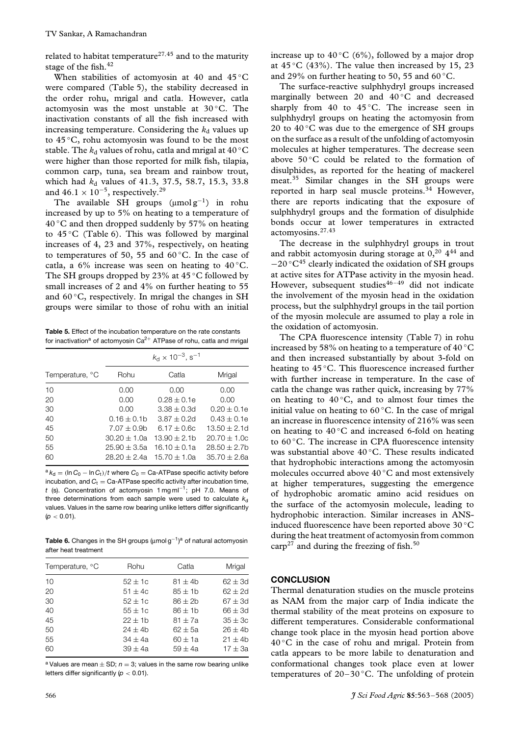related to habitat temperature27*,*<sup>45</sup> and to the maturity stage of the fish.<sup>42</sup>

When stabilities of actomyosin at 40 and 45 °C were compared (Table 5), the stability decreased in the order rohu, mrigal and catla. However, catla actomyosin was the most unstable at 30 ◦C. The inactivation constants of all the fish increased with increasing temperature. Considering the  $k_d$  values up to 45 ◦C, rohu actomyosin was found to be the most stable. The  $k_d$  values of rohu, catla and mrigal at 40 °C were higher than those reported for milk fish, tilapia, common carp, tuna, sea bream and rainbow trout, which had *k*<sub>d</sub> values of 41.3, 37.5, 58.7, 15.3, 33.8 and  $46.1 \times 10^{-5}$ , respectively.<sup>29</sup>

The available SH groups  $(\mu \text{mol g}^{-1})$  in rohu increased by up to 5% on heating to a temperature of 40 ◦C and then dropped suddenly by 57% on heating to  $45^{\circ}$ C (Table 6). This was followed by marginal increases of 4, 23 and 37%, respectively, on heating to temperatures of 50, 55 and  $60^{\circ}$ C. In the case of catla, a  $6\%$  increase was seen on heating to  $40\,^{\circ}$ C. The SH groups dropped by 23% at  $45^{\circ}$ C followed by small increases of 2 and 4% on further heating to 55 and  $60^{\circ}$ C, respectively. In mrigal the changes in SH groups were similar to those of rohu with an initial

**Table 5.** Effect of the incubation temperature on the rate constants for inactivation<sup>a</sup> of actomyosin Ca<sup>2+</sup> ATPase of rohu, catla and mrigal

|                 | $k_{\rm d} \times 10^{-3}$ , s <sup>-1</sup> |                  |                   |  |
|-----------------|----------------------------------------------|------------------|-------------------|--|
| Temperature, °C | Rohu                                         | Catla            | Mrigal            |  |
| 10              | 0.00                                         | 0.00             | 0.00              |  |
| 20              | 0.00                                         | $0.28 \pm 0.1e$  | 0.00              |  |
| 30              | 0.00                                         | $3.38 \pm 0.3d$  | $0.20 \pm 0.1e$   |  |
| 40              | $0.16 \pm 0.1$                               | $3.87 \pm 0.2d$  | $0.43 \pm 0.1e$   |  |
| 45              | $7.07 \pm 0.9$ b                             | $6.17 \pm 0.6c$  | $13.50 \pm 2.1$ d |  |
| 50              | $30.20 \pm 1.0a$                             | $13.90 \pm 2.1$  | $20.70 \pm 1.0c$  |  |
| 55              | $25.90 \pm 3.5a$                             | $16.10 \pm 0.1a$ | $28.50 \pm 2.7$ b |  |
| 60              | $28.20 \pm 2.4a$                             | $15.70 \pm 1.0a$ | $35.70 \pm 2.6a$  |  |

 $a_{k_d} = (\ln C_0 - \ln C_t)/t$  where  $C_0 =$  Ca-ATPase specific activity before incubation, and  $C_t =$  Ca-ATPase specific activity after incubation time, *t* (s). Concentration of actomyosin 1 mg ml<sup>−</sup>1; pH 7.0. Means of three determinations from each sample were used to calculate  $k_d$ values. Values in the same row bearing unlike letters differ significantly (*p <* 0*.*01).

Table 6. Changes in the SH groups (µmol g<sup>-1</sup>)<sup>a</sup> of natural actomyosin after heat treatment

| Temperature, °C | Rohu        | Catla        | Mrigal      |
|-----------------|-------------|--------------|-------------|
| 10              | $52 \pm 1c$ | $81 \pm 4b$  | $62 \pm 3d$ |
| 20              | $51 \pm 4c$ | $85 \pm 1$ b | $62 + 2d$   |
| 30              | $52 + 1c$   | $86 + 2b$    | $67 + 3d$   |
| 40              | $55 \pm 1c$ | $86 + 1b$    | $66 + 3d$   |
| 45              | $22 \pm 16$ | $81 + 7a$    | $35 + 3c$   |
| 50              | $24 + 4b$   | $62 + 5a$    | $26 + 4b$   |
| 55              | $34 + 4a$   | $60 + 1a$    | $21 + 4b$   |
| 60              | $39 + 4a$   | $59 + 4a$    | $17 + 3a$   |

<sup>a</sup> Values are mean  $\pm$  SD;  $n = 3$ ; values in the same row bearing unlike letters differ significantly (*p <* 0*.*01).

increase up to  $40^{\circ}$ C (6%), followed by a major drop at  $45^{\circ}$ C (43%). The value then increased by 15, 23 and 29% on further heating to 50, 55 and 60  $°C$ .

The surface-reactive sulphhydryl groups increased marginally between 20 and 40 ℃ and decreased sharply from 40 to  $45^{\circ}$ C. The increase seen in sulphhydryl groups on heating the actomyosin from 20 to  $40^{\circ}$ C was due to the emergence of SH groups on the surface as a result of the unfolding of actomyosin molecules at higher temperatures. The decrease seen above  $50^{\circ}$ C could be related to the formation of disulphides, as reported for the heating of mackerel meat.35 Similar changes in the SH groups were reported in harp seal muscle proteins.<sup>34</sup> However, there are reports indicating that the exposure of sulphhydryl groups and the formation of disulphide bonds occur at lower temperatures in extracted actomyosins.27*,*<sup>43</sup>

The decrease in the sulphhydryl groups in trout and rabbit actomyosin during storage at  $0,^{20}$   $4^{44}$  and  $-20$  °C<sup>45</sup> clearly indicated the oxidation of SH groups at active sites for ATPase activity in the myosin head. However, subsequent studies $46-49$  did not indicate the involvement of the myosin head in the oxidation process, but the sulphhydryl groups in the tail portion of the myosin molecule are assumed to play a role in the oxidation of actomyosin.

The CPA fluorescence intensity (Table 7) in rohu increased by 58% on heating to a temperature of 40 ◦C and then increased substantially by about 3-fold on heating to 45 ℃. This fluorescence increased further with further increase in temperature. In the case of catla the change was rather quick, increasing by 77% on heating to  $40^{\circ}$ C, and to almost four times the initial value on heating to  $60^{\circ}$ C. In the case of mrigal an increase in fluorescence intensity of 216% was seen on heating to  $40^{\circ}$ C and increased 6-fold on heating to 60 ◦C. The increase in CPA fluorescence intensity was substantial above 40 ℃. These results indicated that hydrophobic interactions among the actomyosin molecules occurred above 40 ◦C and most extensively at higher temperatures, suggesting the emergence of hydrophobic aromatic amino acid residues on the surface of the actomyosin molecule, leading to hydrophobic interaction. Similar increases in ANSinduced fluorescence have been reported above 30 ◦C during the heat treatment of actomyosin from common carp<sup>27</sup> and during the freezing of fish.<sup>50</sup>

#### **CONCLUSION**

Thermal denaturation studies on the muscle proteins as NAM from the major carp of India indicate the thermal stability of the meat proteins on exposure to different temperatures. Considerable conformational change took place in the myosin head portion above  $40^{\circ}$ C in the case of rohu and mrigal. Protein from catla appears to be more labile to denaturation and conformational changes took place even at lower temperatures of  $20-30$  °C. The unfolding of protein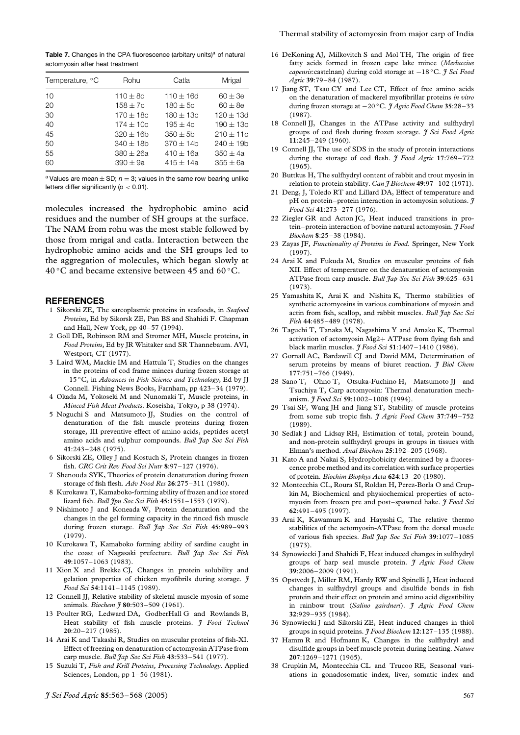**Table 7.** Changes in the CPA fluorescence (arbitary units)<sup>a</sup> of natural actomyosin after heat treatment

| Temperature, °C | Rohu           | Catla         | Mrigal         |
|-----------------|----------------|---------------|----------------|
| 10              | $110 \pm 8d$   | $110 + 16d$   | $60 \pm 3e$    |
| 20              | $158 + 7c$     | $180 + 5c$    | $60 + 8e$      |
| 30              | $170 + 18c$    | $180 + 13c$   | $120 \pm 13$ d |
| 40              | $174 \pm 10c$  | $195 \pm 4c$  | $190 \pm 13c$  |
| 45              | $320 + 16b$    | $350 \pm 5b$  | $210 \pm 11c$  |
| 50              | $340 \pm 18$ b | $370 + 14b$   | $240 \pm 19$ b |
| 55              | $380 \pm 26a$  | $410 \pm 16a$ | $350 \pm 4a$   |
| 60              | $390 \pm 9a$   | $415 + 14a$   | $355 \pm 6a$   |

<sup>a</sup> Values are mean  $\pm$  SD;  $n = 3$ ; values in the same row bearing unlike letters differ significantly (*p <* 0*.*01).

molecules increased the hydrophobic amino acid residues and the number of SH groups at the surface. The NAM from rohu was the most stable followed by those from mrigal and catla. Interaction between the hydrophobic amino acids and the SH groups led to the aggregation of molecules, which began slowly at  $40^{\circ}$ C and became extensive between 45 and 60 $^{\circ}$ C.

## **REFERENCES**

- 1 Sikorski ZE, The sarcoplasmic proteins in seafoods, in *Seafood Proteins*, Ed by Sikorsk ZE, Pan BS and Shahidi F. Chapman and Hall, New York, pp 40–57 (1994).
- 2 Goll DE, Robinson RM and Stromer MH, Muscle proteins, in *Food Proteins*, Ed by JR Whitaker and SR Thannebaum. AVI, Westport, CT (1977).
- 3 Laird WM, Mackie IM and Hattula T, Studies on the changes in the proteins of cod frame minces during frozen storage at −15 ◦C, in *Advances in Fish Science and Technology*, Ed by JJ Connell. Fishing News Books, Farnham, pp 423–34 (1979).
- 4 Okada M, Yokoseki M and Nunomaki T, Muscle proteins, in *Minced Fish Meat Products*. Koseisha, Tokyo, p 38 (1974).
- 5 Noguchi S and Matsumoto JJ, Studies on the control of denaturation of the fish muscle proteins during frozen storage, III preventive effect of amino acids, peptides acetyl amino acids and sulphur compounds. *Bull Jap Soc Sci Fish* **41**:243–248 (1975).
- 6 Sikorski ZE, Olley J and Kostuch S, Protein changes in frozen fish. *CRC Crit Rev Food Sci Nutr* **8**:97–127 (1976).
- 7 Shenouda SYK, Theories of protein denaturation during frozen storage of fish flesh. *Adv Food Res* **26**:275–311 (1980).
- 8 Kurokawa T, Kamaboko-forming ability of frozen and ice stored lizard fish. *Bull Jpn Soc Sci Fish* **45**:1551–1553 (1979).
- 9 Nishimoto J and Koneada W, Protein denaturation and the changes in the gel forming capacity in the rinced fish muscle during frozen storage. *Bull Jap Soc Sci Fish* **45**:989–993 (1979).
- 10 Kurokawa T, Kamaboko forming ability of sardine caught in the coast of Nagasaki prefecture. *Bull Jap Soc Sci Fish* **49**:1057–1063 (1983).
- 11 Xion X and Brekke CJ, Changes in protein solubility and gelation properties of chicken myofibrils during storage. *J Food Sci* **54**:1141–1145 (1989).
- 12 Connell JJ, Relative stability of skeletal muscle myosin of some animals. *Biochem J* **80**:503–509 (1961).
- 13 Poulter RG, Ledward DA, GodberHall G and Rowlands B, Heat stability of fish muscle proteins. *J Food Technol* **20**:20–217 (1985).
- 14 Arai K and Takashi R, Studies on muscular proteins of fish-XI. Effect of freezing on denaturation of actomyosin ATPase from carp muscle. *Bull Jap Soc Sci Fish* **43**:533–541 (1977).

16 DeKoning AJ, Milkovitch S and Mol TH, The origin of free fatty acids formed in frozen cape lake mince (*Merluccius capensis*:castelnan) during cold storage at −18 ◦C. *J Sci Food Agric* **39**:79–84 (1987).

Thermal stability of actomyosin from major carp of India

- 17 Jiang ST, Tsao CY and Lee CT, Effect of free amino acids on the denaturation of mackerel myofibrillar proteins *in vitro* during frozen storage at −20 ◦C. *J Agric Food Chem* **35**:28–33 (1987).
- 18 Connell JJ, Changes in the ATPase activity and sulfhydryl groups of cod flesh during frozen storage. *J Sci Food Agric* **11**:245–249 (1960).
- 19 Connell JJ, The use of SDS in the study of protein interactions during the storage of cod flesh. *J Food Agric* **17**:769–772  $(1965)$ .
- 20 Buttkus H, The sulfhydryl content of rabbit and trout myosin in relation to protein stability. *Can J Biochem* **49**:97–102 (1971).
- 21 Deng, J, Toledo RT and Lillard DA, Effect of temperature and pH on protein–protein interaction in actomyosin solutions. *J Food Sci* **41**:273–277 (1976).
- 22 Ziegler GR and Acton JC, Heat induced transitions in protein–protein interaction of bovine natural actomyosin. *J Food Biochem* **8**:25–38 (1984).
- 23 Zayas JF, *Functionality of Proteins in Food*. Springer, New York (1997).
- 24 Arai K and Fukuda M, Studies on muscular proteins of fish XII. Effect of temperature on the denaturation of actomyosin ATPase from carp muscle. *Bull Jap Soc Sci Fish* **39**:625–631 (1973).
- 25 Yamashita K, Arai K and Nishita K, Thermo stabilities of synthetic actomyosins in various combinations of myosin and actin from fish, scallop, and rabbit muscles. *Bull Jap Soc Sci Fish* **44**:485–489 (1978).
- 26 Taguchi T, Tanaka M, Nagashima Y and Amako K, Thermal activation of actomyosin Mg2+ ATPase from flying fish and black marlin muscles. *J Food Sci* **51**:1407–1410 (1986).
- 27 Gornall AC, Bardawill CJ and David MM, Determination of serum proteins by means of biuret reaction. *J Biol Chem* **177**:751–766 (1949).
- 28 Sano T, Ohno T, Otsuka-Fuchino H, Matsumoto JJ and Tsuchiya T, Carp actomyosin: Thermal denaturation mechanism. *J Food Sci* **59**:1002–1008 (1994).
- 29 Tsai SF, Wang JH and Jiang ST, Stability of muscle proteins from some sub tropic fish. *J Agric Food Chem* **37**:749–752 (1989).
- 30 Sedlak J and Lidsay RH, Estimation of total, protein bound, and non-protein sulfhydryl groups in groups in tissues with Elman's method. *Anal Biochem* **25**:192–205 (1968).
- 31 Kato A and Nakai S, Hydrophobicity determined by a fluorescence probe method and its correlation with surface properties of protein. *Biochim Biophys Acta* **624**:13–20 (1980).
- 32 Montecchia CL, Roura SI, Roldan H, Perez-Borla O and Crupkin M, Biochemical and physiochemical properties of actomyosin from frozen pre and post–spawned hake. *J Food Sci* **62**:491–495 (1997).
- 33 Arai K, Kawamura K and Hayashi C, The relative thermo stabilities of the actomyosin-ATPase from the dorsal muscle of various fish species. *Bull Jap Soc Sci Fish* **39**:1077–1085 (1973).
- 34 Synowiecki J and Shahidi F, Heat induced changes in sulfhydryl groups of harp seal muscle protein. *J Agric Food Chem* **39**:2006–2009 (1991).
- 35 Opstvedt J, Miller RM, Hardy RW and Spinelli J, Heat induced changes in sulfhydryl groups and disulfide bonds in fish protein and their effect on protein and amino acid digestibility in rainbow trout (*Salino gairdneri*). *J Agric Food Chem* **32**:929–935 (1984).
- 36 Synowiecki J and Sikorski ZE, Heat induced changes in thiol groups in squid proteins. *J Food Biochem* **12**:127–135 (1988).
- 37 Hamm R and Hofmann K, Changes in the sulfhydryl and disulfide groups in beef muscle protein during heating. *Nature* **207**:1269–1271 (1965). 38 Crupkin M, Montecchia CL and Trucoo RE, Seasonal vari-

ations in gonadosomatic index, liver, somatic index and

15 Suzuki T, *Fish and Krill Proteins, Processing Technology*. Applied Sciences, London, pp 1–56 (1981).